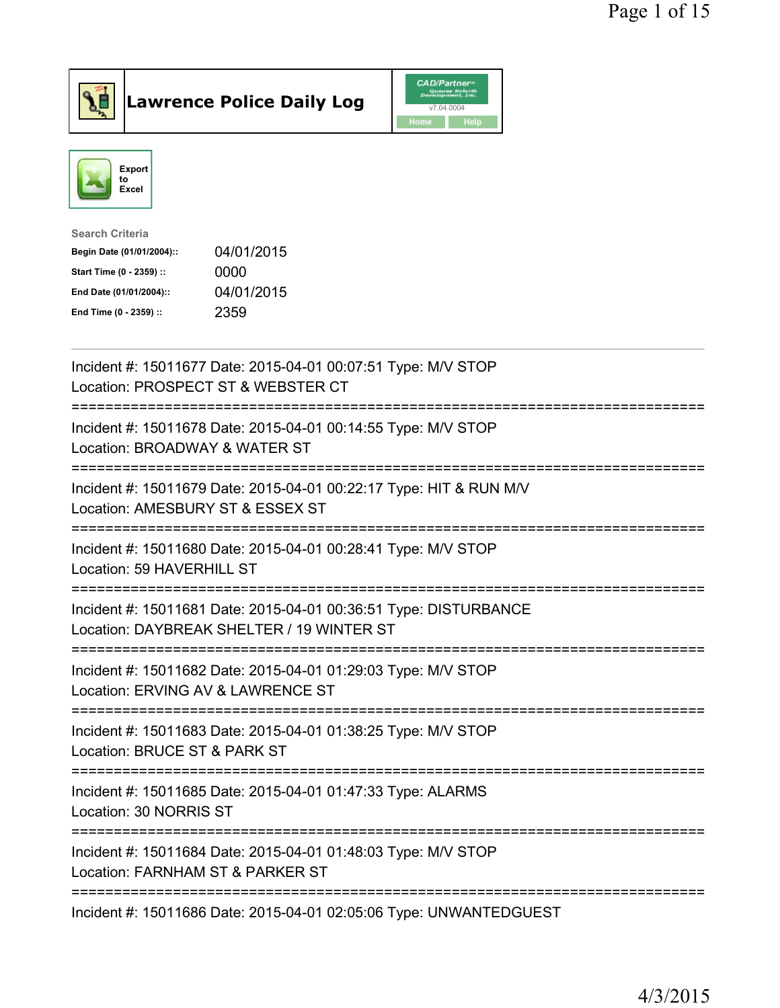

## Lawrence Police Daily Log

|      | <b>CAD/Partner</b> <sup>*</sup><br><b>Queues Enforth</b><br>Development, Inc. |
|------|-------------------------------------------------------------------------------|
|      | v7.04.0004                                                                    |
| Home | Help                                                                          |



| Search Criteria           |            |
|---------------------------|------------|
| Begin Date (01/01/2004):: | 04/01/2015 |
| Start Time (0 - 2359) ::  | 0000       |
| End Date (01/01/2004)::   | 04/01/2015 |
| End Time (0 - 2359) ::    | 2359       |
|                           |            |

| Incident #: 15011677 Date: 2015-04-01 00:07:51 Type: M/V STOP<br>Location: PROSPECT ST & WEBSTER CT                                                                                        |
|--------------------------------------------------------------------------------------------------------------------------------------------------------------------------------------------|
| Incident #: 15011678 Date: 2015-04-01 00:14:55 Type: M/V STOP<br>Location: BROADWAY & WATER ST                                                                                             |
| Incident #: 15011679 Date: 2015-04-01 00:22:17 Type: HIT & RUN M/V<br>Location: AMESBURY ST & ESSEX ST<br><u> :==================</u>                                                      |
| Incident #: 15011680 Date: 2015-04-01 00:28:41 Type: M/V STOP<br>Location: 59 HAVERHILL ST                                                                                                 |
| Incident #: 15011681 Date: 2015-04-01 00:36:51 Type: DISTURBANCE<br>Location: DAYBREAK SHELTER / 19 WINTER ST<br>================================<br>===================================== |
| Incident #: 15011682 Date: 2015-04-01 01:29:03 Type: M/V STOP<br>Location: ERVING AV & LAWRENCE ST<br>;============================                                                        |
| Incident #: 15011683 Date: 2015-04-01 01:38:25 Type: M/V STOP<br>Location: BRUCE ST & PARK ST                                                                                              |
| Incident #: 15011685 Date: 2015-04-01 01:47:33 Type: ALARMS<br>Location: 30 NORRIS ST                                                                                                      |
| Incident #: 15011684 Date: 2015-04-01 01:48:03 Type: M/V STOP<br>Location: FARNHAM ST & PARKER ST                                                                                          |
| ----------------------------<br>Incident #: 15011686 Date: 2015-04-01 02:05:06 Type: UNWANTEDGUEST                                                                                         |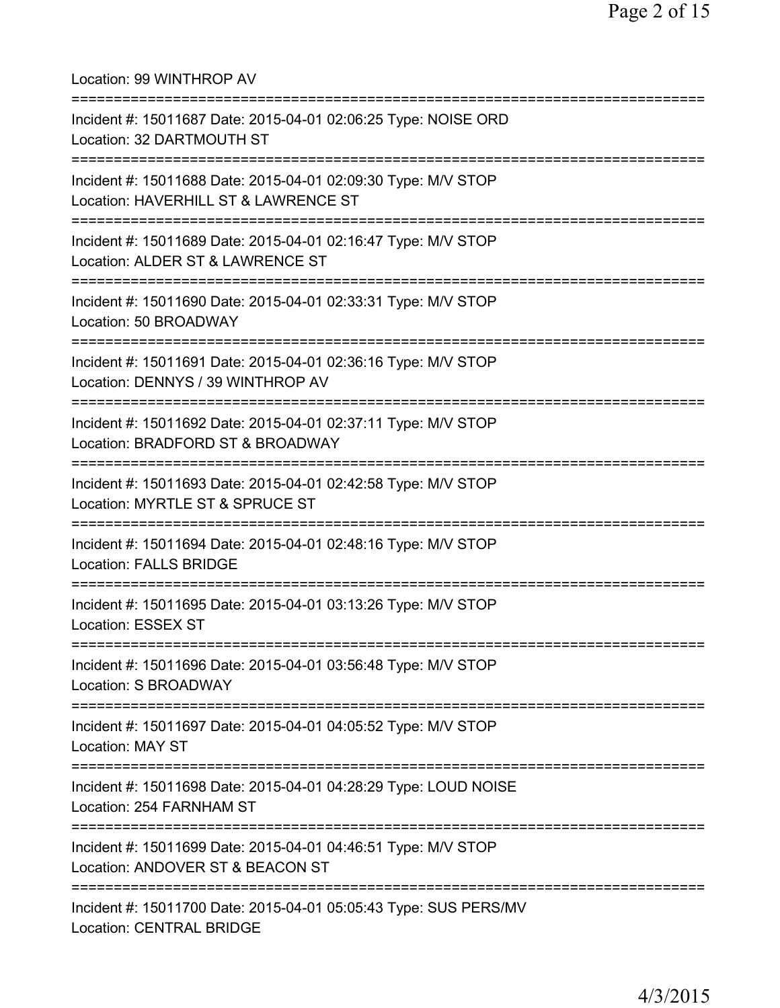Location: 99 WINTHROP AV =========================================================================== Incident #: 15011687 Date: 2015-04-01 02:06:25 Type: NOISE ORD Location: 32 DARTMOUTH ST =========================================================================== Incident #: 15011688 Date: 2015-04-01 02:09:30 Type: M/V STOP Location: HAVERHILL ST & LAWRENCE ST =========================================================================== Incident #: 15011689 Date: 2015-04-01 02:16:47 Type: M/V STOP Location: ALDER ST & LAWRENCE ST =========================================================================== Incident #: 15011690 Date: 2015-04-01 02:33:31 Type: M/V STOP Location: 50 BROADWAY =========================================================================== Incident #: 15011691 Date: 2015-04-01 02:36:16 Type: M/V STOP Location: DENNYS / 39 WINTHROP AV =========================================================================== Incident #: 15011692 Date: 2015-04-01 02:37:11 Type: M/V STOP Location: BRADFORD ST & BROADWAY =========================================================================== Incident #: 15011693 Date: 2015-04-01 02:42:58 Type: M/V STOP Location: MYRTLE ST & SPRUCE ST =========================================================================== Incident #: 15011694 Date: 2015-04-01 02:48:16 Type: M/V STOP Location: FALLS BRIDGE =========================================================================== Incident #: 15011695 Date: 2015-04-01 03:13:26 Type: M/V STOP Location: ESSEX ST =========================================================================== Incident #: 15011696 Date: 2015-04-01 03:56:48 Type: M/V STOP Location: S BROADWAY =========================================================================== Incident #: 15011697 Date: 2015-04-01 04:05:52 Type: M/V STOP Location: MAY ST =========================================================================== Incident #: 15011698 Date: 2015-04-01 04:28:29 Type: LOUD NOISE Location: 254 FARNHAM ST =========================================================================== Incident #: 15011699 Date: 2015-04-01 04:46:51 Type: M/V STOP Location: ANDOVER ST & BEACON ST =========================================================================== Incident #: 15011700 Date: 2015-04-01 05:05:43 Type: SUS PERS/MV Location: CENTRAL BRIDGE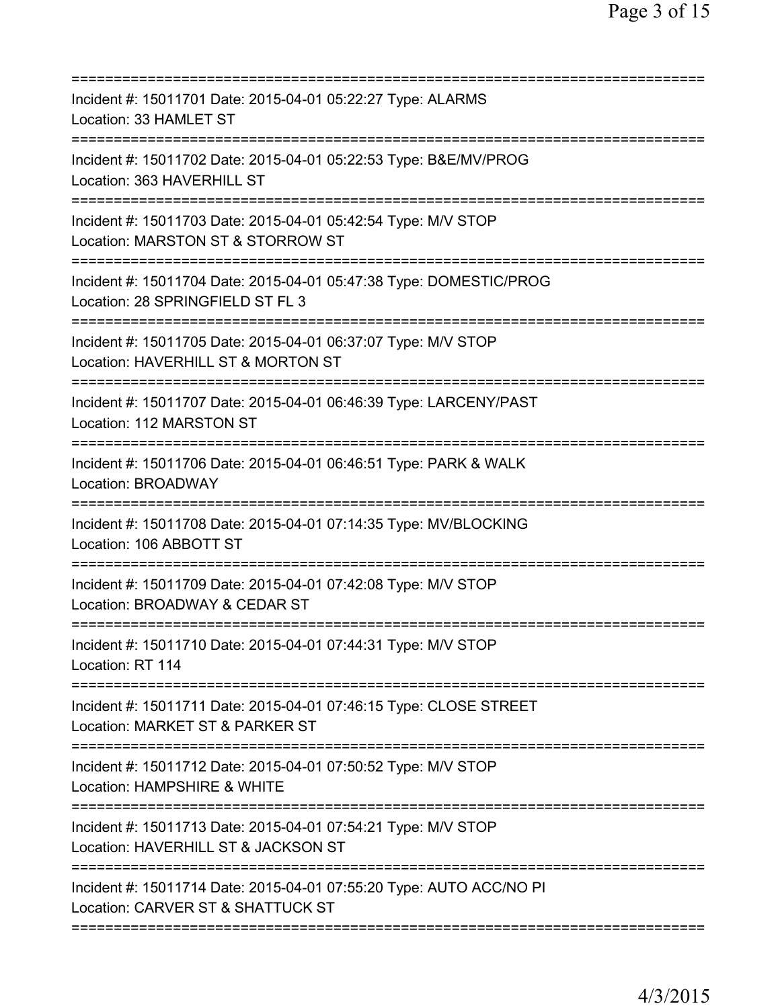| =========================                                                                                                                                     |
|---------------------------------------------------------------------------------------------------------------------------------------------------------------|
| Incident #: 15011701 Date: 2015-04-01 05:22:27 Type: ALARMS<br>Location: 33 HAMLET ST                                                                         |
| Incident #: 15011702 Date: 2015-04-01 05:22:53 Type: B&E/MV/PROG<br>Location: 363 HAVERHILL ST                                                                |
| Incident #: 15011703 Date: 2015-04-01 05:42:54 Type: M/V STOP<br>Location: MARSTON ST & STORROW ST<br>===========================                             |
| Incident #: 15011704 Date: 2015-04-01 05:47:38 Type: DOMESTIC/PROG<br>Location: 28 SPRINGFIELD ST FL 3                                                        |
| Incident #: 15011705 Date: 2015-04-01 06:37:07 Type: M/V STOP<br>Location: HAVERHILL ST & MORTON ST                                                           |
| Incident #: 15011707 Date: 2015-04-01 06:46:39 Type: LARCENY/PAST<br>Location: 112 MARSTON ST                                                                 |
| Incident #: 15011706 Date: 2015-04-01 06:46:51 Type: PARK & WALK<br><b>Location: BROADWAY</b><br>------------------                                           |
| Incident #: 15011708 Date: 2015-04-01 07:14:35 Type: MV/BLOCKING<br>Location: 106 ABBOTT ST                                                                   |
| Incident #: 15011709 Date: 2015-04-01 07:42:08 Type: M/V STOP<br>Location: BROADWAY & CEDAR ST                                                                |
| ===================<br>Incident #: 15011710 Date: 2015-04-01 07:44:31 Type: M/V STOP<br>Location: RT 114                                                      |
| :============================<br>Incident #: 15011711 Date: 2015-04-01 07:46:15 Type: CLOSE STREET<br>Location: MARKET ST & PARKER ST                         |
| Incident #: 15011712 Date: 2015-04-01 07:50:52 Type: M/V STOP<br>Location: HAMPSHIRE & WHITE                                                                  |
| Incident #: 15011713 Date: 2015-04-01 07:54:21 Type: M/V STOP<br>Location: HAVERHILL ST & JACKSON ST                                                          |
| ===============================<br>==============<br>Incident #: 15011714 Date: 2015-04-01 07:55:20 Type: AUTO ACC/NO PI<br>Location: CARVER ST & SHATTUCK ST |
|                                                                                                                                                               |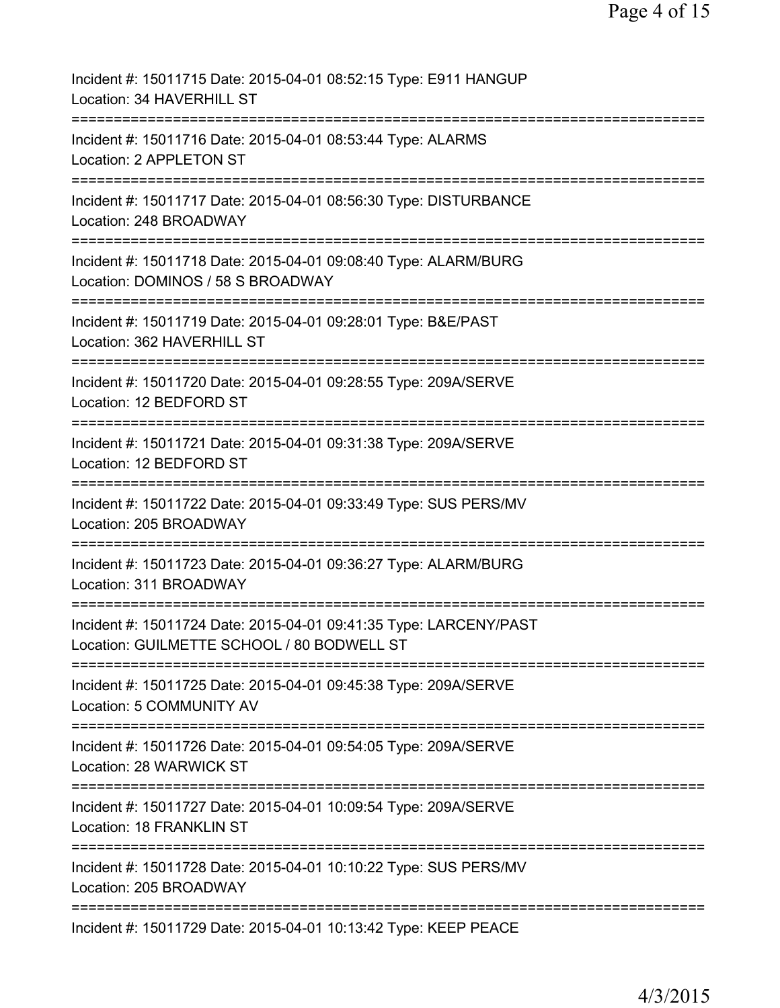| Incident #: 15011715 Date: 2015-04-01 08:52:15 Type: E911 HANGUP<br>Location: 34 HAVERHILL ST                                      |
|------------------------------------------------------------------------------------------------------------------------------------|
| Incident #: 15011716 Date: 2015-04-01 08:53:44 Type: ALARMS<br>Location: 2 APPLETON ST                                             |
| Incident #: 15011717 Date: 2015-04-01 08:56:30 Type: DISTURBANCE<br>Location: 248 BROADWAY                                         |
| Incident #: 15011718 Date: 2015-04-01 09:08:40 Type: ALARM/BURG<br>Location: DOMINOS / 58 S BROADWAY                               |
| Incident #: 15011719 Date: 2015-04-01 09:28:01 Type: B&E/PAST<br>Location: 362 HAVERHILL ST                                        |
| Incident #: 15011720 Date: 2015-04-01 09:28:55 Type: 209A/SERVE<br>Location: 12 BEDFORD ST                                         |
| Incident #: 15011721 Date: 2015-04-01 09:31:38 Type: 209A/SERVE<br>Location: 12 BEDFORD ST<br>;=================================== |
| Incident #: 15011722 Date: 2015-04-01 09:33:49 Type: SUS PERS/MV<br>Location: 205 BROADWAY                                         |
| Incident #: 15011723 Date: 2015-04-01 09:36:27 Type: ALARM/BURG<br>Location: 311 BROADWAY                                          |
| Incident #: 15011724 Date: 2015-04-01 09:41:35 Type: LARCENY/PAST<br>Location: GUILMETTE SCHOOL / 80 BODWELL ST                    |
| Incident #: 15011725 Date: 2015-04-01 09:45:38 Type: 209A/SERVE<br>Location: 5 COMMUNITY AV                                        |
| Incident #: 15011726 Date: 2015-04-01 09:54:05 Type: 209A/SERVE<br>Location: 28 WARWICK ST                                         |
| Incident #: 15011727 Date: 2015-04-01 10:09:54 Type: 209A/SERVE<br>Location: 18 FRANKLIN ST                                        |
| Incident #: 15011728 Date: 2015-04-01 10:10:22 Type: SUS PERS/MV<br>Location: 205 BROADWAY                                         |
| Incident #: 15011729 Date: 2015-04-01 10:13:42 Type: KEEP PEACE                                                                    |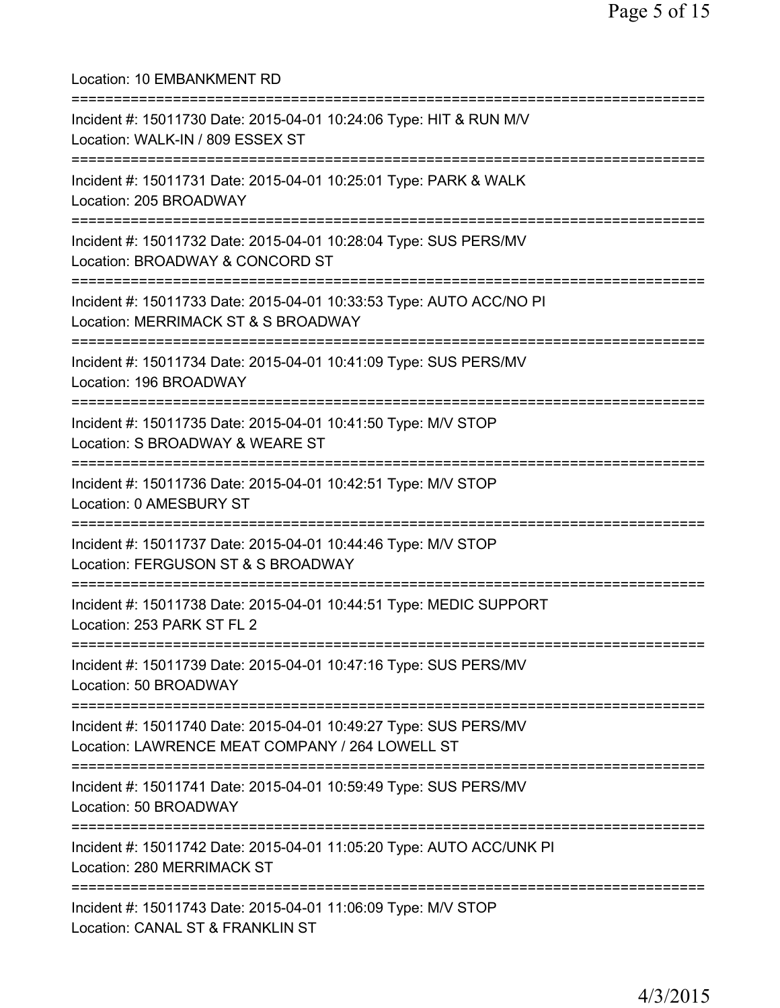Location: 10 EMBANKMENT RD =========================================================================== Incident #: 15011730 Date: 2015-04-01 10:24:06 Type: HIT & RUN M/V Location: WALK-IN / 809 ESSEX ST =========================================================================== Incident #: 15011731 Date: 2015-04-01 10:25:01 Type: PARK & WALK Location: 205 BROADWAY =========================================================================== Incident #: 15011732 Date: 2015-04-01 10:28:04 Type: SUS PERS/MV Location: BROADWAY & CONCORD ST =========================================================================== Incident #: 15011733 Date: 2015-04-01 10:33:53 Type: AUTO ACC/NO PI Location: MERRIMACK ST & S BROADWAY =========================================================================== Incident #: 15011734 Date: 2015-04-01 10:41:09 Type: SUS PERS/MV Location: 196 BROADWAY =========================================================================== Incident #: 15011735 Date: 2015-04-01 10:41:50 Type: M/V STOP Location: S BROADWAY & WEARE ST =========================================================================== Incident #: 15011736 Date: 2015-04-01 10:42:51 Type: M/V STOP Location: 0 AMESBURY ST =========================================================================== Incident #: 15011737 Date: 2015-04-01 10:44:46 Type: M/V STOP Location: FERGUSON ST & S BROADWAY =========================================================================== Incident #: 15011738 Date: 2015-04-01 10:44:51 Type: MEDIC SUPPORT Location: 253 PARK ST FL 2 =========================================================================== Incident #: 15011739 Date: 2015-04-01 10:47:16 Type: SUS PERS/MV Location: 50 BROADWAY =========================================================================== Incident #: 15011740 Date: 2015-04-01 10:49:27 Type: SUS PERS/MV Location: LAWRENCE MEAT COMPANY / 264 LOWELL ST =========================================================================== Incident #: 15011741 Date: 2015-04-01 10:59:49 Type: SUS PERS/MV Location: 50 BROADWAY =========================================================================== Incident #: 15011742 Date: 2015-04-01 11:05:20 Type: AUTO ACC/UNK PI Location: 280 MERRIMACK ST =========================================================================== Incident #: 15011743 Date: 2015-04-01 11:06:09 Type: M/V STOP Location: CANAL ST & FRANKLIN ST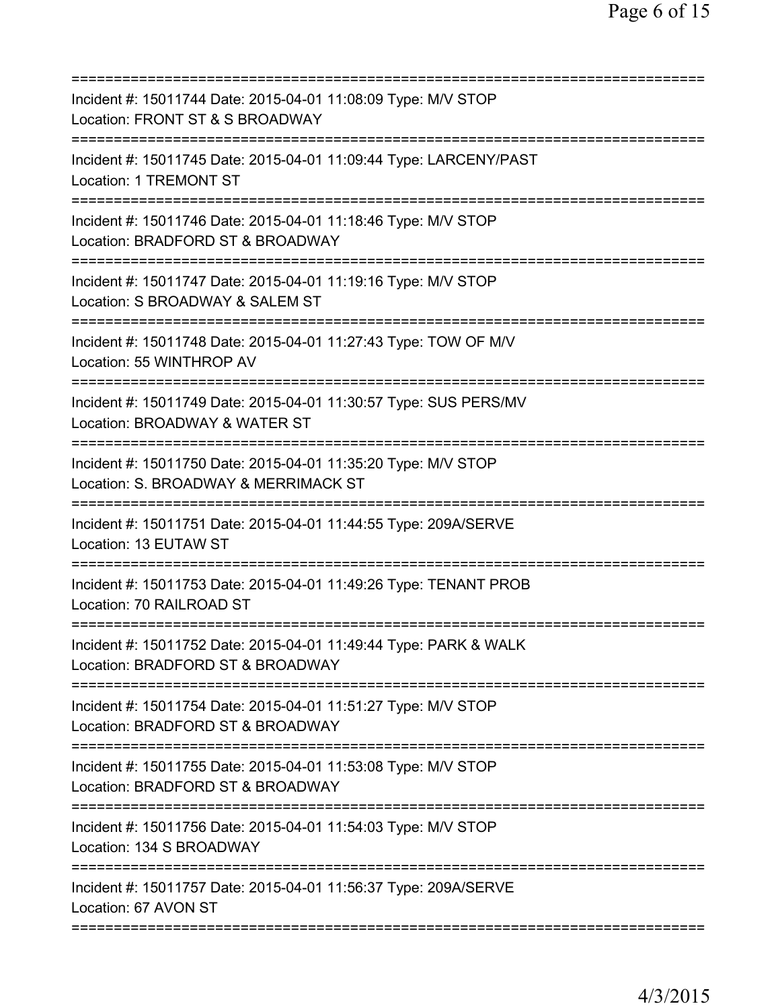| ============================                                                                                                        |
|-------------------------------------------------------------------------------------------------------------------------------------|
| Incident #: 15011744 Date: 2015-04-01 11:08:09 Type: M/V STOP<br>Location: FRONT ST & S BROADWAY                                    |
| Incident #: 15011745 Date: 2015-04-01 11:09:44 Type: LARCENY/PAST<br>Location: 1 TREMONT ST                                         |
| Incident #: 15011746 Date: 2015-04-01 11:18:46 Type: M/V STOP<br>Location: BRADFORD ST & BROADWAY                                   |
| Incident #: 15011747 Date: 2015-04-01 11:19:16 Type: M/V STOP<br>Location: S BROADWAY & SALEM ST                                    |
| Incident #: 15011748 Date: 2015-04-01 11:27:43 Type: TOW OF M/V<br>Location: 55 WINTHROP AV                                         |
| Incident #: 15011749 Date: 2015-04-01 11:30:57 Type: SUS PERS/MV<br>Location: BROADWAY & WATER ST<br>=======                        |
| Incident #: 15011750 Date: 2015-04-01 11:35:20 Type: M/V STOP<br>Location: S. BROADWAY & MERRIMACK ST                               |
| Incident #: 15011751 Date: 2015-04-01 11:44:55 Type: 209A/SERVE<br>Location: 13 EUTAW ST<br>===================================     |
| Incident #: 15011753 Date: 2015-04-01 11:49:26 Type: TENANT PROB<br>Location: 70 RAILROAD ST                                        |
| Incident #: 15011752 Date: 2015-04-01 11:49:44 Type: PARK & WALK<br>Location: BRADFORD ST & BROADWAY                                |
| ==============================<br>Incident #: 15011754 Date: 2015-04-01 11:51:27 Type: M/V STOP<br>Location: BRADFORD ST & BROADWAY |
| Incident #: 15011755 Date: 2015-04-01 11:53:08 Type: M/V STOP<br>Location: BRADFORD ST & BROADWAY                                   |
| Incident #: 15011756 Date: 2015-04-01 11:54:03 Type: M/V STOP<br>Location: 134 S BROADWAY                                           |
| Incident #: 15011757 Date: 2015-04-01 11:56:37 Type: 209A/SERVE<br>Location: 67 AVON ST                                             |
|                                                                                                                                     |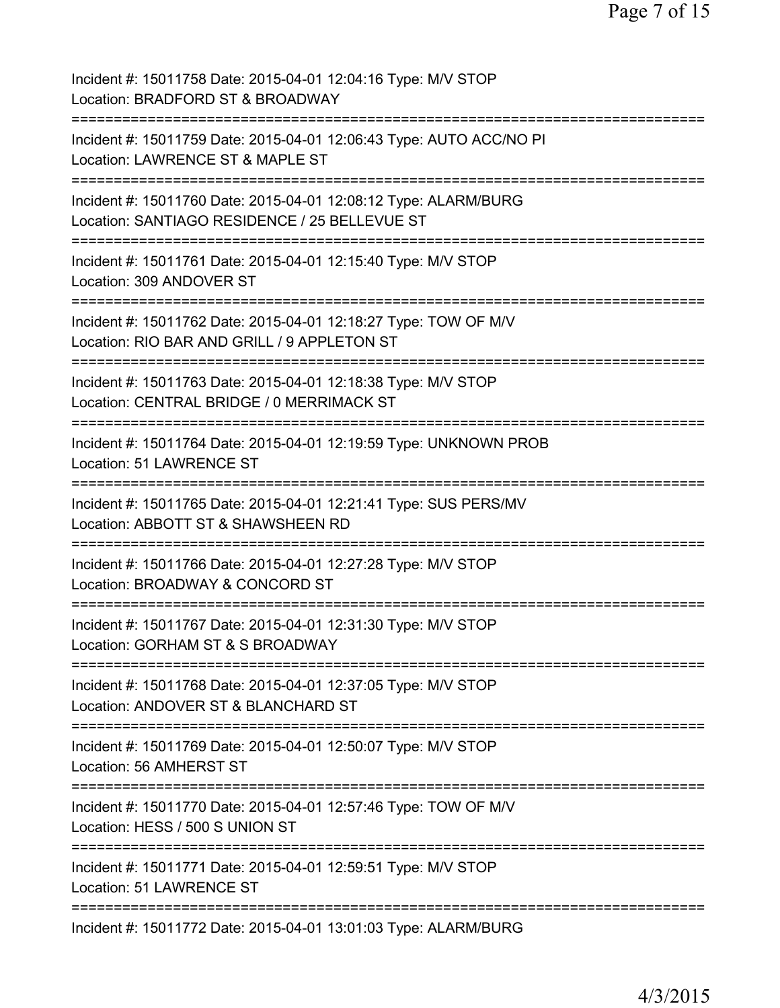| Incident #: 15011758 Date: 2015-04-01 12:04:16 Type: M/V STOP<br>Location: BRADFORD ST & BROADWAY                   |
|---------------------------------------------------------------------------------------------------------------------|
| Incident #: 15011759 Date: 2015-04-01 12:06:43 Type: AUTO ACC/NO PI<br>Location: LAWRENCE ST & MAPLE ST             |
| Incident #: 15011760 Date: 2015-04-01 12:08:12 Type: ALARM/BURG<br>Location: SANTIAGO RESIDENCE / 25 BELLEVUE ST    |
| Incident #: 15011761 Date: 2015-04-01 12:15:40 Type: M/V STOP<br>Location: 309 ANDOVER ST                           |
| Incident #: 15011762 Date: 2015-04-01 12:18:27 Type: TOW OF M/V<br>Location: RIO BAR AND GRILL / 9 APPLETON ST      |
| Incident #: 15011763 Date: 2015-04-01 12:18:38 Type: M/V STOP<br>Location: CENTRAL BRIDGE / 0 MERRIMACK ST          |
| Incident #: 15011764 Date: 2015-04-01 12:19:59 Type: UNKNOWN PROB<br>Location: 51 LAWRENCE ST<br>:================= |
| Incident #: 15011765 Date: 2015-04-01 12:21:41 Type: SUS PERS/MV<br>Location: ABBOTT ST & SHAWSHEEN RD              |
| Incident #: 15011766 Date: 2015-04-01 12:27:28 Type: M/V STOP<br>Location: BROADWAY & CONCORD ST                    |
| Incident #: 15011767 Date: 2015-04-01 12:31:30 Type: M/V STOP<br>Location: GORHAM ST & S BROADWAY                   |
| Incident #: 15011768 Date: 2015-04-01 12:37:05 Type: M/V STOP<br>Location: ANDOVER ST & BLANCHARD ST                |
| Incident #: 15011769 Date: 2015-04-01 12:50:07 Type: M/V STOP<br>Location: 56 AMHERST ST                            |
| Incident #: 15011770 Date: 2015-04-01 12:57:46 Type: TOW OF M/V<br>Location: HESS / 500 S UNION ST                  |
| Incident #: 15011771 Date: 2015-04-01 12:59:51 Type: M/V STOP<br>Location: 51 LAWRENCE ST                           |
| Incident #: 15011772 Date: 2015-04-01 13:01:03 Type: ALARM/BURG                                                     |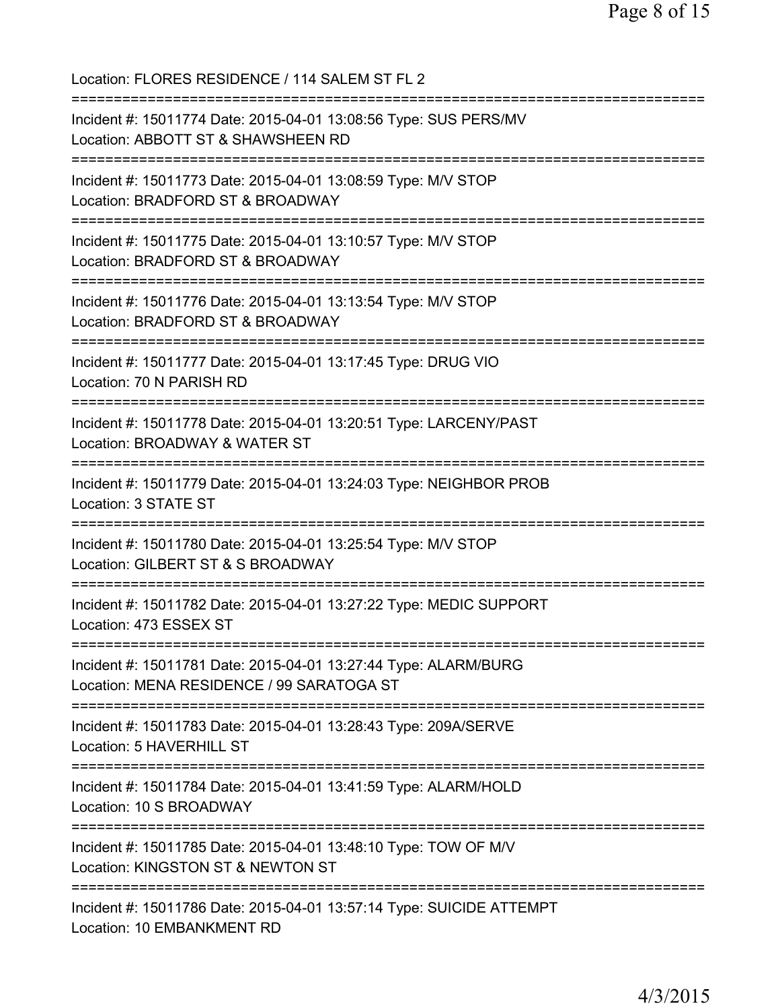Location: FLORES RESIDENCE / 114 SALEM ST FL 2 =========================================================================== Incident #: 15011774 Date: 2015-04-01 13:08:56 Type: SUS PERS/MV Location: ABBOTT ST & SHAWSHEEN RD =========================================================================== Incident #: 15011773 Date: 2015-04-01 13:08:59 Type: M/V STOP Location: BRADFORD ST & BROADWAY =========================================================================== Incident #: 15011775 Date: 2015-04-01 13:10:57 Type: M/V STOP Location: BRADFORD ST & BROADWAY =========================================================================== Incident #: 15011776 Date: 2015-04-01 13:13:54 Type: M/V STOP Location: BRADFORD ST & BROADWAY =========================================================================== Incident #: 15011777 Date: 2015-04-01 13:17:45 Type: DRUG VIO Location: 70 N PARISH RD =========================================================================== Incident #: 15011778 Date: 2015-04-01 13:20:51 Type: LARCENY/PAST Location: BROADWAY & WATER ST =========================================================================== Incident #: 15011779 Date: 2015-04-01 13:24:03 Type: NEIGHBOR PROB Location: 3 STATE ST =========================================================================== Incident #: 15011780 Date: 2015-04-01 13:25:54 Type: M/V STOP Location: GILBERT ST & S BROADWAY =========================================================================== Incident #: 15011782 Date: 2015-04-01 13:27:22 Type: MEDIC SUPPORT Location: 473 ESSEX ST =========================================================================== Incident #: 15011781 Date: 2015-04-01 13:27:44 Type: ALARM/BURG Location: MENA RESIDENCE / 99 SARATOGA ST =========================================================================== Incident #: 15011783 Date: 2015-04-01 13:28:43 Type: 209A/SERVE Location: 5 HAVERHILL ST =========================================================================== Incident #: 15011784 Date: 2015-04-01 13:41:59 Type: ALARM/HOLD Location: 10 S BROADWAY =========================================================================== Incident #: 15011785 Date: 2015-04-01 13:48:10 Type: TOW OF M/V Location: KINGSTON ST & NEWTON ST =========================================================================== Incident #: 15011786 Date: 2015-04-01 13:57:14 Type: SUICIDE ATTEMPT Location: 10 EMBANKMENT RD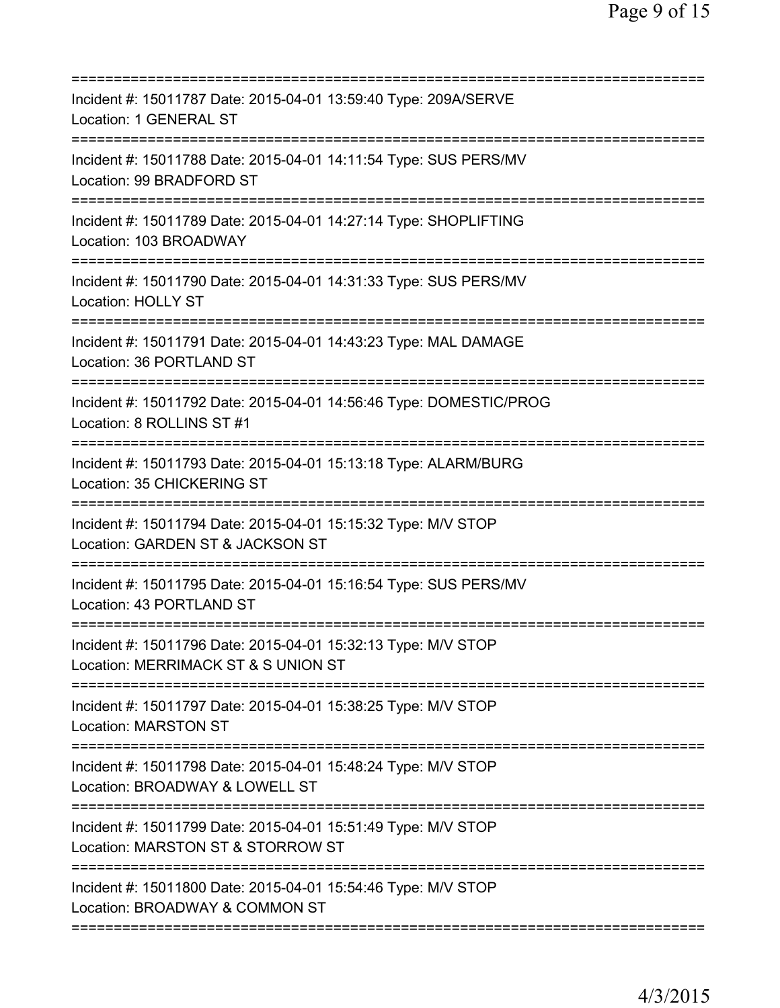| Incident #: 15011787 Date: 2015-04-01 13:59:40 Type: 209A/SERVE<br>Location: 1 GENERAL ST                                                 |
|-------------------------------------------------------------------------------------------------------------------------------------------|
| Incident #: 15011788 Date: 2015-04-01 14:11:54 Type: SUS PERS/MV<br>Location: 99 BRADFORD ST                                              |
| Incident #: 15011789 Date: 2015-04-01 14:27:14 Type: SHOPLIFTING<br>Location: 103 BROADWAY                                                |
| Incident #: 15011790 Date: 2015-04-01 14:31:33 Type: SUS PERS/MV<br><b>Location: HOLLY ST</b>                                             |
| Incident #: 15011791 Date: 2015-04-01 14:43:23 Type: MAL DAMAGE<br>Location: 36 PORTLAND ST                                               |
| ======================================<br>Incident #: 15011792 Date: 2015-04-01 14:56:46 Type: DOMESTIC/PROG<br>Location: 8 ROLLINS ST #1 |
| Incident #: 15011793 Date: 2015-04-01 15:13:18 Type: ALARM/BURG<br>Location: 35 CHICKERING ST<br>============================             |
| Incident #: 15011794 Date: 2015-04-01 15:15:32 Type: M/V STOP<br>Location: GARDEN ST & JACKSON ST                                         |
| Incident #: 15011795 Date: 2015-04-01 15:16:54 Type: SUS PERS/MV<br>Location: 43 PORTLAND ST                                              |
| Incident #: 15011796 Date: 2015-04-01 15:32:13 Type: M/V STOP<br>Location: MERRIMACK ST & S UNION ST                                      |
| Incident #: 15011797 Date: 2015-04-01 15:38:25 Type: M/V STOP<br><b>Location: MARSTON ST</b>                                              |
| Incident #: 15011798 Date: 2015-04-01 15:48:24 Type: M/V STOP<br>Location: BROADWAY & LOWELL ST                                           |
| Incident #: 15011799 Date: 2015-04-01 15:51:49 Type: M/V STOP<br>Location: MARSTON ST & STORROW ST                                        |
| Incident #: 15011800 Date: 2015-04-01 15:54:46 Type: M/V STOP<br>Location: BROADWAY & COMMON ST                                           |
|                                                                                                                                           |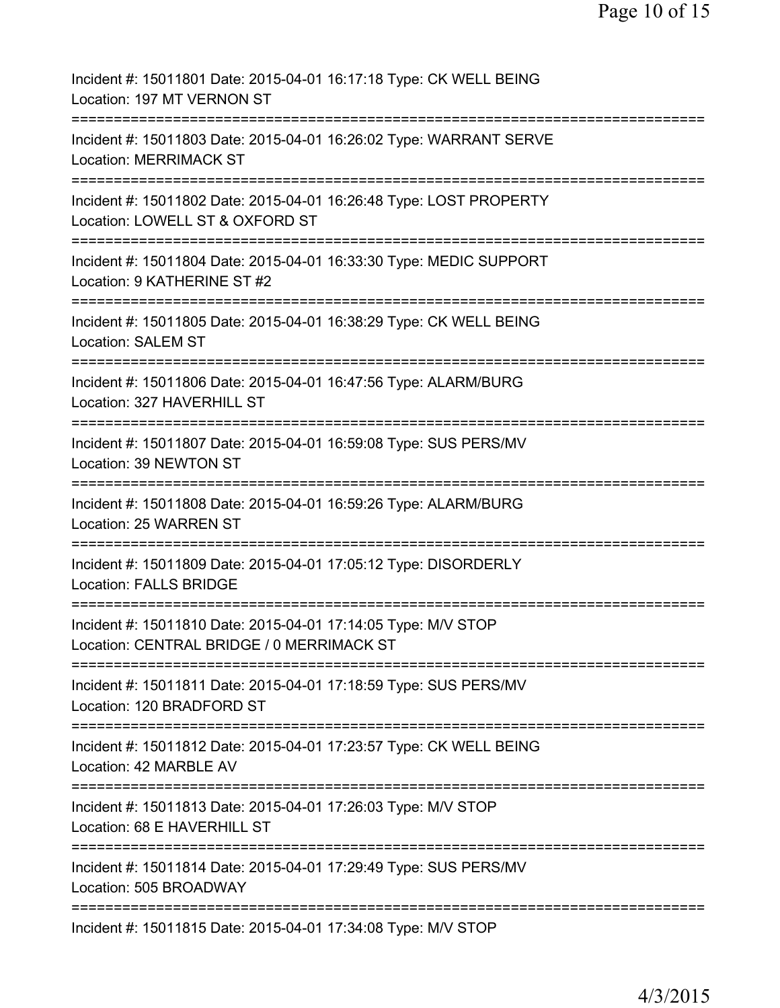| Incident #: 15011801 Date: 2015-04-01 16:17:18 Type: CK WELL BEING<br>Location: 197 MT VERNON ST                                               |
|------------------------------------------------------------------------------------------------------------------------------------------------|
| Incident #: 15011803 Date: 2015-04-01 16:26:02 Type: WARRANT SERVE<br><b>Location: MERRIMACK ST</b>                                            |
| Incident #: 15011802 Date: 2015-04-01 16:26:48 Type: LOST PROPERTY<br>Location: LOWELL ST & OXFORD ST                                          |
| Incident #: 15011804 Date: 2015-04-01 16:33:30 Type: MEDIC SUPPORT<br>Location: 9 KATHERINE ST #2                                              |
| Incident #: 15011805 Date: 2015-04-01 16:38:29 Type: CK WELL BEING<br>Location: SALEM ST                                                       |
| Incident #: 15011806 Date: 2015-04-01 16:47:56 Type: ALARM/BURG<br>Location: 327 HAVERHILL ST                                                  |
| Incident #: 15011807 Date: 2015-04-01 16:59:08 Type: SUS PERS/MV<br>Location: 39 NEWTON ST                                                     |
| Incident #: 15011808 Date: 2015-04-01 16:59:26 Type: ALARM/BURG<br>Location: 25 WARREN ST                                                      |
| Incident #: 15011809 Date: 2015-04-01 17:05:12 Type: DISORDERLY<br><b>Location: FALLS BRIDGE</b>                                               |
| ================================<br>Incident #: 15011810 Date: 2015-04-01 17:14:05 Type: M/V STOP<br>Location: CENTRAL BRIDGE / 0 MERRIMACK ST |
| Incident #: 15011811 Date: 2015-04-01 17:18:59 Type: SUS PERS/MV<br>Location: 120 BRADFORD ST                                                  |
| Incident #: 15011812 Date: 2015-04-01 17:23:57 Type: CK WELL BEING<br>Location: 42 MARBLE AV                                                   |
| Incident #: 15011813 Date: 2015-04-01 17:26:03 Type: M/V STOP<br>Location: 68 E HAVERHILL ST                                                   |
| Incident #: 15011814 Date: 2015-04-01 17:29:49 Type: SUS PERS/MV<br>Location: 505 BROADWAY                                                     |
| Incident #: 15011815 Date: 2015-04-01 17:34:08 Type: M/V STOP                                                                                  |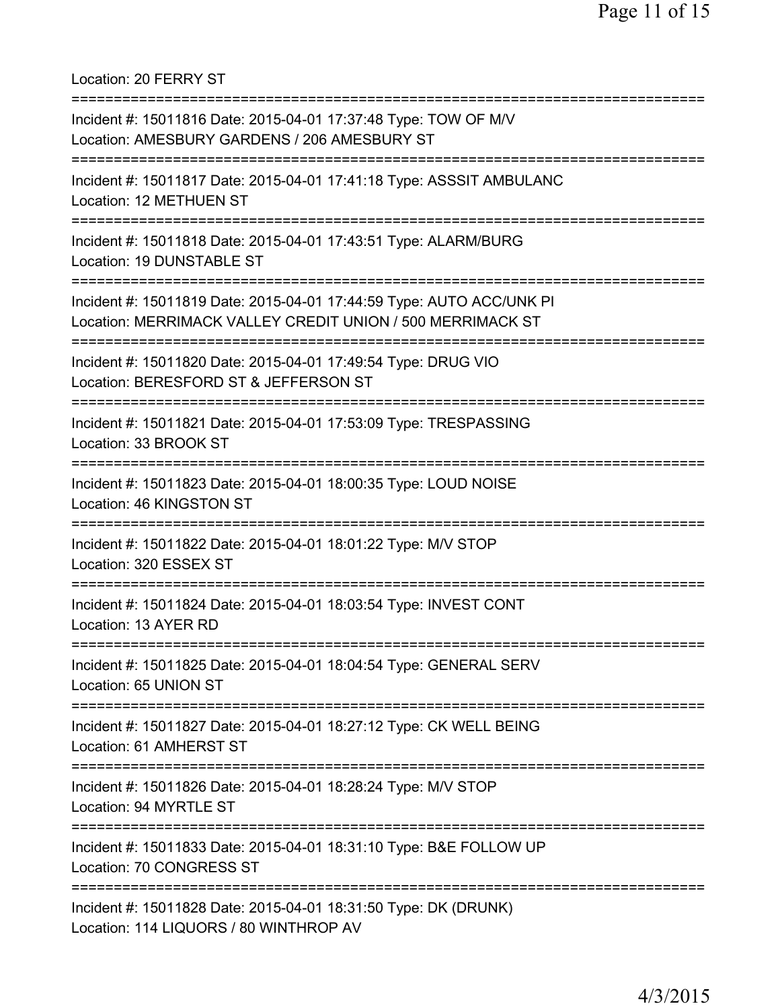Location: 20 FERRY ST

| Incident #: 15011816 Date: 2015-04-01 17:37:48 Type: TOW OF M/V<br>Location: AMESBURY GARDENS / 206 AMESBURY ST                    |
|------------------------------------------------------------------------------------------------------------------------------------|
| Incident #: 15011817 Date: 2015-04-01 17:41:18 Type: ASSSIT AMBULANC<br>Location: 12 METHUEN ST                                    |
| Incident #: 15011818 Date: 2015-04-01 17:43:51 Type: ALARM/BURG<br>Location: 19 DUNSTABLE ST                                       |
| Incident #: 15011819 Date: 2015-04-01 17:44:59 Type: AUTO ACC/UNK PI<br>Location: MERRIMACK VALLEY CREDIT UNION / 500 MERRIMACK ST |
| Incident #: 15011820 Date: 2015-04-01 17:49:54 Type: DRUG VIO<br>Location: BERESFORD ST & JEFFERSON ST                             |
| Incident #: 15011821 Date: 2015-04-01 17:53:09 Type: TRESPASSING<br>Location: 33 BROOK ST                                          |
| Incident #: 15011823 Date: 2015-04-01 18:00:35 Type: LOUD NOISE<br>Location: 46 KINGSTON ST                                        |
| Incident #: 15011822 Date: 2015-04-01 18:01:22 Type: M/V STOP<br>Location: 320 ESSEX ST                                            |
| Incident #: 15011824 Date: 2015-04-01 18:03:54 Type: INVEST CONT<br>Location: 13 AYER RD                                           |
| Incident #: 15011825 Date: 2015-04-01 18:04:54 Type: GENERAL SERV<br>Location: 65 UNION ST                                         |
| Incident #: 15011827 Date: 2015-04-01 18:27:12 Type: CK WELL BEING<br>Location: 61 AMHERST ST                                      |
| Incident #: 15011826 Date: 2015-04-01 18:28:24 Type: M/V STOP<br>Location: 94 MYRTLE ST                                            |
| Incident #: 15011833 Date: 2015-04-01 18:31:10 Type: B&E FOLLOW UP<br>Location: 70 CONGRESS ST                                     |
| Incident #: 15011828 Date: 2015-04-01 18:31:50 Type: DK (DRUNK)<br>Location: 114 LIQUORS / 80 WINTHROP AV                          |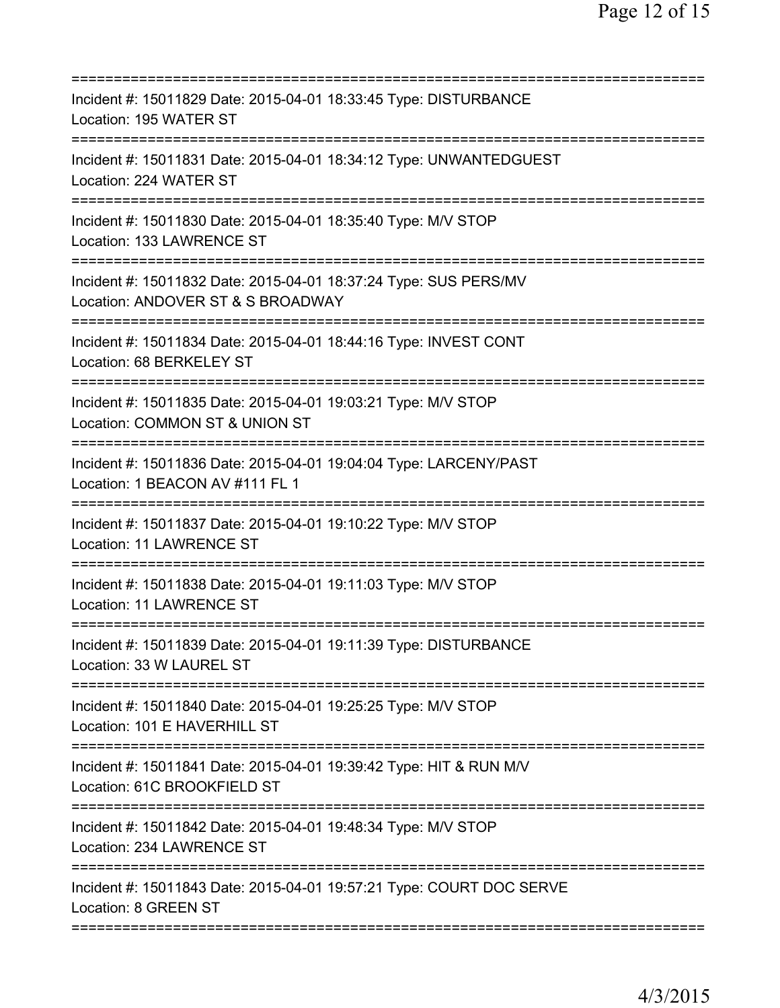| Incident #: 15011829 Date: 2015-04-01 18:33:45 Type: DISTURBANCE<br>Location: 195 WATER ST                                                        |
|---------------------------------------------------------------------------------------------------------------------------------------------------|
| Incident #: 15011831 Date: 2015-04-01 18:34:12 Type: UNWANTEDGUEST<br>Location: 224 WATER ST                                                      |
| Incident #: 15011830 Date: 2015-04-01 18:35:40 Type: M/V STOP<br>Location: 133 LAWRENCE ST                                                        |
| Incident #: 15011832 Date: 2015-04-01 18:37:24 Type: SUS PERS/MV<br>Location: ANDOVER ST & S BROADWAY                                             |
| Incident #: 15011834 Date: 2015-04-01 18:44:16 Type: INVEST CONT<br>Location: 68 BERKELEY ST                                                      |
| Incident #: 15011835 Date: 2015-04-01 19:03:21 Type: M/V STOP<br>Location: COMMON ST & UNION ST                                                   |
| Incident #: 15011836 Date: 2015-04-01 19:04:04 Type: LARCENY/PAST<br>Location: 1 BEACON AV #111 FL 1<br>=========================<br>============ |
| Incident #: 15011837 Date: 2015-04-01 19:10:22 Type: M/V STOP<br><b>Location: 11 LAWRENCE ST</b>                                                  |
| Incident #: 15011838 Date: 2015-04-01 19:11:03 Type: M/V STOP<br>Location: 11 LAWRENCE ST                                                         |
| Incident #: 15011839 Date: 2015-04-01 19:11:39 Type: DISTURBANCE<br>Location: 33 W LAUREL ST                                                      |
| Incident #: 15011840 Date: 2015-04-01 19:25:25 Type: M/V STOP<br>Location: 101 E HAVERHILL ST                                                     |
| Incident #: 15011841 Date: 2015-04-01 19:39:42 Type: HIT & RUN M/V<br>Location: 61C BROOKFIELD ST                                                 |
| Incident #: 15011842 Date: 2015-04-01 19:48:34 Type: M/V STOP<br>Location: 234 LAWRENCE ST                                                        |
| Incident #: 15011843 Date: 2015-04-01 19:57:21 Type: COURT DOC SERVE<br>Location: 8 GREEN ST                                                      |
|                                                                                                                                                   |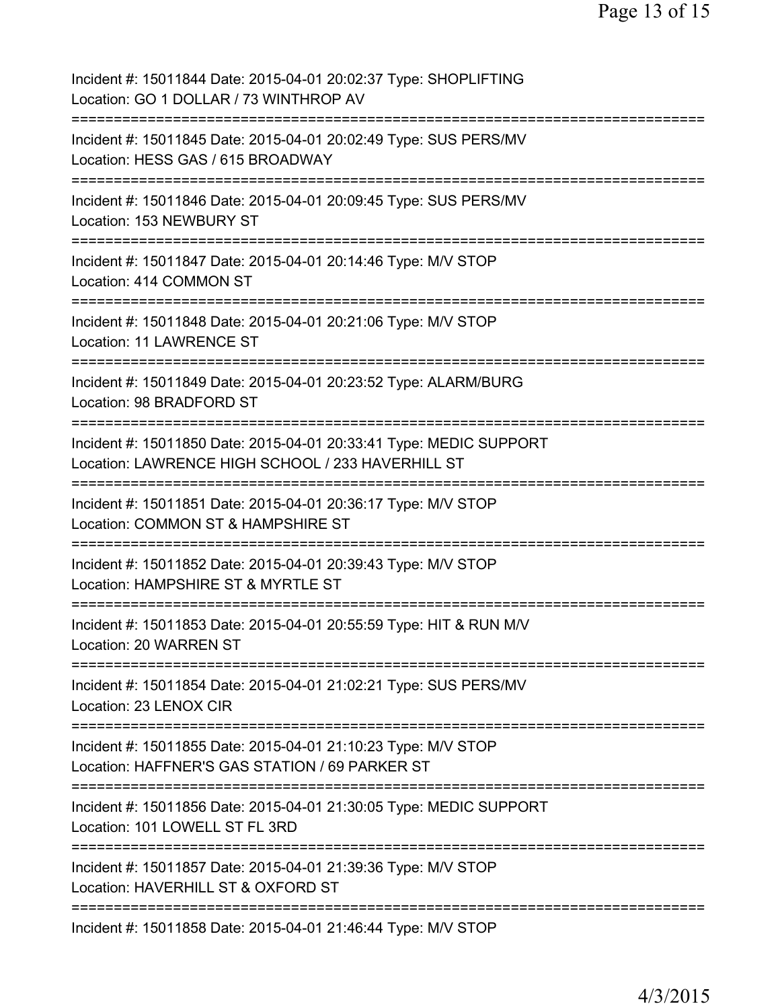Incident #: 15011844 Date: 2015-04-01 20:02:37 Type: SHOPLIFTING Location: GO 1 DOLLAR / 73 WINTHROP AV =========================================================================== Incident #: 15011845 Date: 2015-04-01 20:02:49 Type: SUS PERS/MV Location: HESS GAS / 615 BROADWAY =========================================================================== Incident #: 15011846 Date: 2015-04-01 20:09:45 Type: SUS PERS/MV Location: 153 NEWBURY ST =========================================================================== Incident #: 15011847 Date: 2015-04-01 20:14:46 Type: M/V STOP Location: 414 COMMON ST =========================================================================== Incident #: 15011848 Date: 2015-04-01 20:21:06 Type: M/V STOP Location: 11 LAWRENCE ST =========================================================================== Incident #: 15011849 Date: 2015-04-01 20:23:52 Type: ALARM/BURG Location: 98 BRADFORD ST =========================================================================== Incident #: 15011850 Date: 2015-04-01 20:33:41 Type: MEDIC SUPPORT Location: LAWRENCE HIGH SCHOOL / 233 HAVERHILL ST =========================================================================== Incident #: 15011851 Date: 2015-04-01 20:36:17 Type: M/V STOP Location: COMMON ST & HAMPSHIRE ST =========================================================================== Incident #: 15011852 Date: 2015-04-01 20:39:43 Type: M/V STOP Location: HAMPSHIRE ST & MYRTLE ST =========================================================================== Incident #: 15011853 Date: 2015-04-01 20:55:59 Type: HIT & RUN M/V Location: 20 WARREN ST =========================================================================== Incident #: 15011854 Date: 2015-04-01 21:02:21 Type: SUS PERS/MV Location: 23 LENOX CIR =========================================================================== Incident #: 15011855 Date: 2015-04-01 21:10:23 Type: M/V STOP Location: HAFFNER'S GAS STATION / 69 PARKER ST =========================================================================== Incident #: 15011856 Date: 2015-04-01 21:30:05 Type: MEDIC SUPPORT Location: 101 LOWELL ST FL 3RD =========================================================================== Incident #: 15011857 Date: 2015-04-01 21:39:36 Type: M/V STOP Location: HAVERHILL ST & OXFORD ST =========================================================================== Incident #: 15011858 Date: 2015-04-01 21:46:44 Type: M/V STOP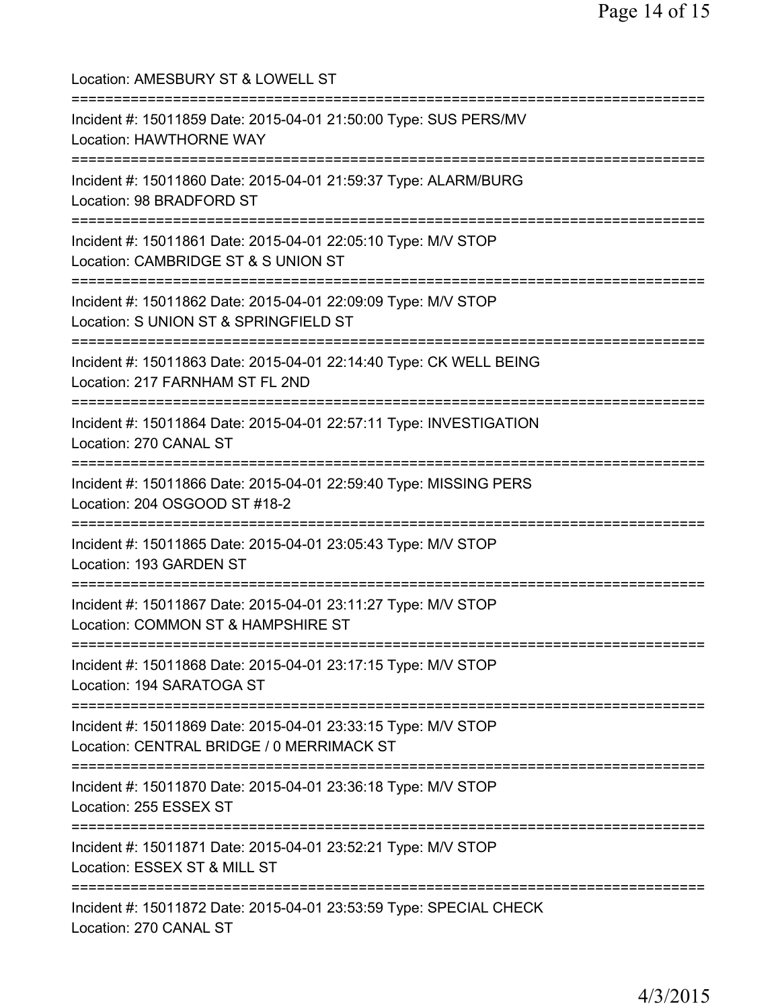Location: AMESBURY ST & LOWELL ST =========================================================================== Incident #: 15011859 Date: 2015-04-01 21:50:00 Type: SUS PERS/MV Location: HAWTHORNE WAY =========================================================================== Incident #: 15011860 Date: 2015-04-01 21:59:37 Type: ALARM/BURG Location: 98 BRADFORD ST =========================================================================== Incident #: 15011861 Date: 2015-04-01 22:05:10 Type: M/V STOP Location: CAMBRIDGE ST & S UNION ST =========================================================================== Incident #: 15011862 Date: 2015-04-01 22:09:09 Type: M/V STOP Location: S UNION ST & SPRINGFIELD ST =========================================================================== Incident #: 15011863 Date: 2015-04-01 22:14:40 Type: CK WELL BEING Location: 217 FARNHAM ST FL 2ND =========================================================================== Incident #: 15011864 Date: 2015-04-01 22:57:11 Type: INVESTIGATION Location: 270 CANAL ST =========================================================================== Incident #: 15011866 Date: 2015-04-01 22:59:40 Type: MISSING PERS Location: 204 OSGOOD ST #18-2 =========================================================================== Incident #: 15011865 Date: 2015-04-01 23:05:43 Type: M/V STOP Location: 193 GARDEN ST =========================================================================== Incident #: 15011867 Date: 2015-04-01 23:11:27 Type: M/V STOP Location: COMMON ST & HAMPSHIRE ST =========================================================================== Incident #: 15011868 Date: 2015-04-01 23:17:15 Type: M/V STOP Location: 194 SARATOGA ST =========================================================================== Incident #: 15011869 Date: 2015-04-01 23:33:15 Type: M/V STOP Location: CENTRAL BRIDGE / 0 MERRIMACK ST =========================================================================== Incident #: 15011870 Date: 2015-04-01 23:36:18 Type: M/V STOP Location: 255 ESSEX ST =========================================================================== Incident #: 15011871 Date: 2015-04-01 23:52:21 Type: M/V STOP Location: ESSEX ST & MILL ST =========================================================================== Incident #: 15011872 Date: 2015-04-01 23:53:59 Type: SPECIAL CHECK Location: 270 CANAL ST